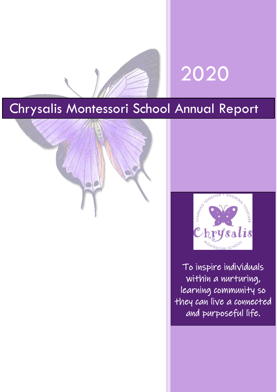



# Chrysalis Montessori School Annual Report





To inspire individuals within a nurturing, learning community so they can live a connected and purposeful life.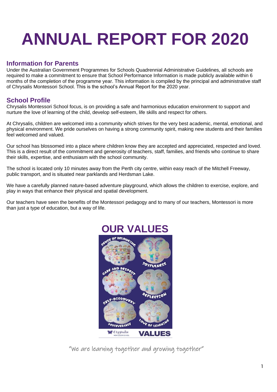# **ANNUAL REPORT FOR 2020**

# **Information for Parents**

Under the Australian Government Programmes for Schools Quadrennial Administrative Guidelines, all schools are required to make a commitment to ensure that School Performance Information is made publicly available within 6 months of the completion of the programme year. This information is compiled by the principal and administrative staff of Chrysalis Montessori School. This is the school's Annual Report for the 2020 year.

# **School Profile**

Chrysalis Montessori School focus, is on providing a safe and harmonious education environment to support and nurture the love of learning of the child, develop self-esteem, life skills and respect for others.

At Chrysalis, children are welcomed into a community which strives for the very best academic, mental, emotional, and physical environment. We pride ourselves on having a strong community spirit, making new students and their families feel welcomed and valued.

Our school has blossomed into a place where children know they are accepted and appreciated, respected and loved. This is a direct result of the commitment and generosity of teachers, staff, families, and friends who continue to share their skills, expertise, and enthusiasm with the school community.

The school is located only 10 minutes away from the Perth city centre, within easy reach of the Mitchell Freeway, public transport, and is situated near parklands and Herdsman Lake.

We have a carefully planned nature-based adventure playground, which allows the children to exercise, explore, and play in ways that enhance their physical and spatial development.

Our teachers have seen the benefits of the Montessori pedagogy and to many of our teachers, Montessori is more than just a type of education, but a way of life.



"We are learning together and growing together"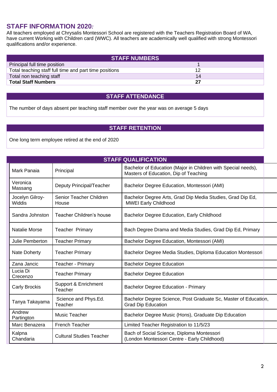# **STAFF INFORMATION 2020***:*

All teachers employed at Chrysalis Montessori School are registered with the Teachers Registration Board of WA, have current Working with Children card (WWC). All teachers are academically well qualified with strong Montessori qualifications and/or experience.

| <b>STAFF NUMBERS</b>                                   |    |  |  |
|--------------------------------------------------------|----|--|--|
| Principal full time position                           |    |  |  |
| Total teaching staff full time and part time positions |    |  |  |
| Total non teaching staff                               | 14 |  |  |
| <b>Total Staff Numbers</b>                             |    |  |  |

#### **STAFF ATTENDANCE**

The number of days absent per teaching staff member over the year was on average 5 days

#### **STAFF RETENTION**

One long term employee retired at the end of 2020

| <b>STAFF QUALIFICATION</b> |                                  |                                                                                                        |  |
|----------------------------|----------------------------------|--------------------------------------------------------------------------------------------------------|--|
| Mark Panaia                | Principal                        | Bachelor of Education (Major in Children with Special needs),<br>Masters of Education, Dip of Teaching |  |
| Veronica<br>Massang        | Deputy Principal/Teacher         | Bachelor Degree Education, Montessori (AMI)                                                            |  |
| Jocelyn Gilroy-<br>Widdis  | Senior Teacher Children<br>House | Bachelor Degree Arts, Grad Dip Media Studies, Grad Dip Ed,<br><b>MWEI Early Childhood</b>              |  |
| Sandra Johnston            | Teacher Children's house         | Bachelor Degree Education, Early Childhood                                                             |  |
| <b>Natalie Morse</b>       | <b>Teacher Primary</b>           | Bach Degree Drama and Media Studies, Grad Dip Ed, Primary                                              |  |
| Julie Pemberton            | <b>Teacher Primary</b>           | Bachelor Degree Education, Montessori (AMI)                                                            |  |
| <b>Nate Doherty</b>        | <b>Teacher Primary</b>           | Bachelor Degree Media Studies, Diploma Education Montessori                                            |  |
| Zana Jancic                | Teacher - Primary                | <b>Bachelor Degree Education</b>                                                                       |  |
| Lucia Di<br>Crecenzo       | <b>Teacher Primary</b>           | <b>Bachelor Degree Education</b>                                                                       |  |
| <b>Carly Brockis</b>       | Support & Enrichment<br>Teacher  | <b>Bachelor Degree Education - Primary</b>                                                             |  |
| Tanya Takayama             | Science and Phys.Ed.<br>Teacher  | Bachelor Degree Science, Post Graduate Sc, Master of Education,<br><b>Grad Dip Education</b>           |  |
| Andrew<br>Partington       | Music Teacher                    | Bachelor Degree Music (Hons), Graduate Dip Education                                                   |  |
| Marc Benazera              | <b>French Teacher</b>            | Limited Teacher Registration to 11/5/23                                                                |  |
| Kalpna<br>Chandaria        | <b>Cultural Studies Teacher</b>  | Bach of Social Science, Diploma Montessori<br>(London Montessori Centre - Early Childhood)             |  |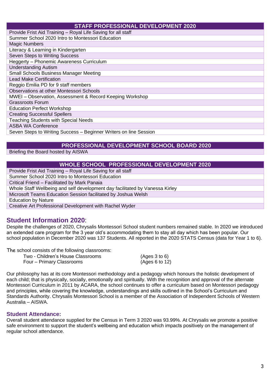#### **STAFF PROFESSIONAL DEVELOPMENT 2020**

| Provide Frist Aid Training - Royal Life Saving for all staff      |
|-------------------------------------------------------------------|
| Summer School 2020 Intro to Montessori Education                  |
| <b>Magic Numbers</b>                                              |
| Literacy & Learning in Kindergarten                               |
| Seven Steps to Writing Success                                    |
| Heggerty - Phonemic Awareness Curriculum                          |
| <b>Understanding Autism</b>                                       |
| <b>Small Schools Business Manager Meeting</b>                     |
| <b>Lead Make Certification</b>                                    |
| Reggio Emilia PD for 9 staff members                              |
| Observations at other Montessori Schools                          |
| MWEI - Observation, Assessment & Record Keeping Workshop          |
| <b>Grassroots Forum</b>                                           |
| <b>Education Perfect Workshop</b>                                 |
| <b>Creating Successful Spellers</b>                               |
| <b>Teaching Students with Special Needs</b>                       |
| <b>ASBA WA Conference</b>                                         |
| Seven Steps to Writing Success - Beginner Writers on line Session |

#### **PROFESSIONAL DEVELOPMENT SCHOOL BOARD 2020**

Briefing the Board hosted by AISWA

#### **WHOLE SCHOOL PROFESSIONAL DEVELOPMENT 2020**

Provide Frist Aid Training – Royal Life Saving for all staff Summer School 2020 Intro to Montessori Education Critical Friend – Facilitated by Mark Panaia Whole Staff Wellbeing and self development day facilitated by Vanessa Kirley Microsoft Teams Education Session facilitated by Joshua Welsh Education by Nature Creative Art Professional Development with Rachel Wyder

#### **Student Information 2020**:

Despite the challenges of 2020, Chrysalis Montessori School student numbers remained stable. In 2020 we introduced an extended care program for the 3 year old's accommodating them to stay all day which has been popular. Our school population in December 2020 was 137 Students. All reported in the 2020 STATS Census (data for Year 1 to 6).

The school consists of the following classrooms:

| Two - Children's House Classrooms | (Ages 3 to 6)  |
|-----------------------------------|----------------|
| Four – Primary Classrooms         | (Ages 6 to 12) |

Our philosophy has at its core Montessori methodology and a pedagogy which honours the holistic development of each child; that is physically, socially, emotionally and spiritually. With the recognition and approval of the alternate Montessori Curriculum in 2011 by ACARA, the school continues to offer a curriculum based on Montessori pedagogy and principles, while covering the knowledge, understandings and skills outlined in the School's Curriculum and Standards Authority. Chrysalis Montessori School is a member of the Association of Independent Schools of Western Australia – AISWA.

#### **Student Attendance:**

Overall student attendance supplied for the Census in Term 3 2020 was 93.99%. At Chrysalis we promote a positive safe environment to support the student's wellbeing and education which impacts positively on the management of regular school attendance.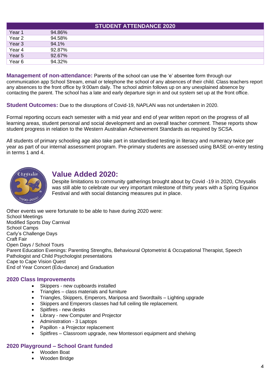| <b>STUDENT ATTENDANCE 2020</b> |        |  |  |
|--------------------------------|--------|--|--|
| Year <sub>1</sub>              | 94.86% |  |  |
| Year 2                         | 94.58% |  |  |
| Year <sub>3</sub>              | 94.1%  |  |  |
| Year 4                         | 92.87% |  |  |
| Year 5                         | 92.67% |  |  |
| Year <sub>6</sub>              | 94.32% |  |  |

**Management of non-attendance:** Parents of the school can use the 'e' absentee form through our communication app School Stream, email or telephone the school of any absences of their child. Class teachers report any absences to the front office by 9:00am daily. The school admin follows up on any unexplained absence by contacting the parent. The school has a late and early departure sign in and out system set up at the front office.

**Student Outcomes:** Due to the disruptions of Covid-19, NAPLAN was not undertaken in 2020.

Formal reporting occurs each semester with a mid year and end of year written report on the progress of all learning areas, student personal and social development and an overall teacher comment. These reports show student progress in relation to the Western Australian Achievement Standards as required by SCSA.

All students of primary schooling age also take part in standardised testing in literacy and numeracy twice per year as part of our internal assessment program. Pre-primary students are assessed using BASE on-entry testing in terms 1 and 4.



# **Value Added 2020:**

Despite limitations to community gatherings brought about by Covid -19 in 2020, Chrysalis was still able to celebrate our very important milestone of thirty years with a Spring Equinox Festival and with social distancing measures put in place.

Other events we were fortunate to be able to have during 2020 were: School Meetings Modified Sports Day Carnival School Camps Carly's Challenge Days Craft Fair Open Days / School Tours Parent Education Evenings: Parenting Strengths, Behavioural Optometrist & Occupational Therapist, Speech Pathologist and Child Psychologist presentations Cape to Cape Vision Quest End of Year Concert (Edu-dance) and Graduation

#### **2020 Class Improvements**

- Skippers new cupboards installed
- Triangles class materials and furniture
- Triangles, Skippers, Emperors, Mariposa and Swordtails Lighting upgrade
- Skippers and Emperors classes had full ceiling tile replacement.
- Spitfires new desks
- Library new Computer and Projector
- Administration 3 Laptops
- Papillon a Projector replacement
- Spitfires Classroom upgrade, new Montessori equipment and shelving

### **2020 Playground – School Grant funded**

- Wooden Boat
- Wooden Bridge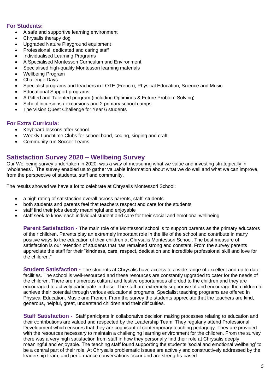#### **For Students:**

- A safe and supportive learning environment
- Chrysalis therapy dog
- Upgraded Nature Playground equipment
- Professional, dedicated and caring staff
- Individualised Learning Programs
- A Specialised Montessori Curriculum and Environment
- Specialised high-quality Montessori learning materials
- Wellbeing Program
- Challenge Days
- Specialist programs and teachers in LOTE (French), Physical Education, Science and Music
- Educational Support programs
- A Gifted and Talented program (including Optiminds & Future Problem Solving)
- School incursions / excursions and 2 primary school camps
- The Vision Quest Challenge for Year 6 students

#### **For Extra Curricula:**

- Keyboard lessons after school
- Weekly Lunchtime Clubs for school band, coding, singing and craft
- Community run Soccer Teams

#### **Satisfaction Survey 2020 – Wellbeing Survey**

Our Wellbeing survey undertaken in 2020, was a way of measuring what we value and investing strategically in 'wholeness'. The survey enabled us to gather valuable information about what we do well and what we can improve, from the perspective of students, staff and community.

The results showed we have a lot to celebrate at Chrysalis Montessori School:

- a high rating of satisfaction overall across parents, staff, students
- both students and parents feel that teachers respect and care for the students
- staff find their jobs deeply meaningful and enjoyable
- staff seek to know each individual student and care for their social and emotional wellbeing

**Parent Satisfaction -** The main role of a Montessori school is to support parents as the primary educators of their children. Parents play an extremely important role in the life of the school and contribute in many positive ways to the education of their children at Chrysalis Montessori School. The best measure of satisfaction is our retention of students that has remained strong and constant. From the survey parents appreciate the staff for their "kindness, care, respect, dedication and incredible professional skill and love for the children."

**Student Satisfaction -** The students at Chrysalis have access to a wide range of excellent and up to date facilities. The school is well-resourced and these resources are constantly upgraded to cater for the needs of the children. There are numerous cultural and festive opportunities afforded to the children and they are encouraged to actively participate in these. The staff are extremely supportive of and encourage the children to achieve their potential through various educational programs. Specialist teaching programs are offered in Physical Education, Music and French. From the survey the students appreciate that the teachers are kind, generous, helpful, great, understand children and their difficulties.

**Staff Satisfaction -** Staff participate in collaborative decision making processes relating to education and their contributions are valued and respected by the Leadership Team. They regularly attend Professional Development which ensures that they are cognisant of contemporary teaching pedagogy. They are provided with the resources necessary to maintain a challenging learning environment for the children. From the survey there was a very high satisfaction from staff in how they personally find their role at Chrysalis deeply meaningful and enjoyable. The teaching staff found supporting the students 'social and emotional wellbeing' to be a central part of their role. At Chrysalis problematic issues are actively and constructively addressed by the leadership team, and performance conversations occur and are strengths-based.